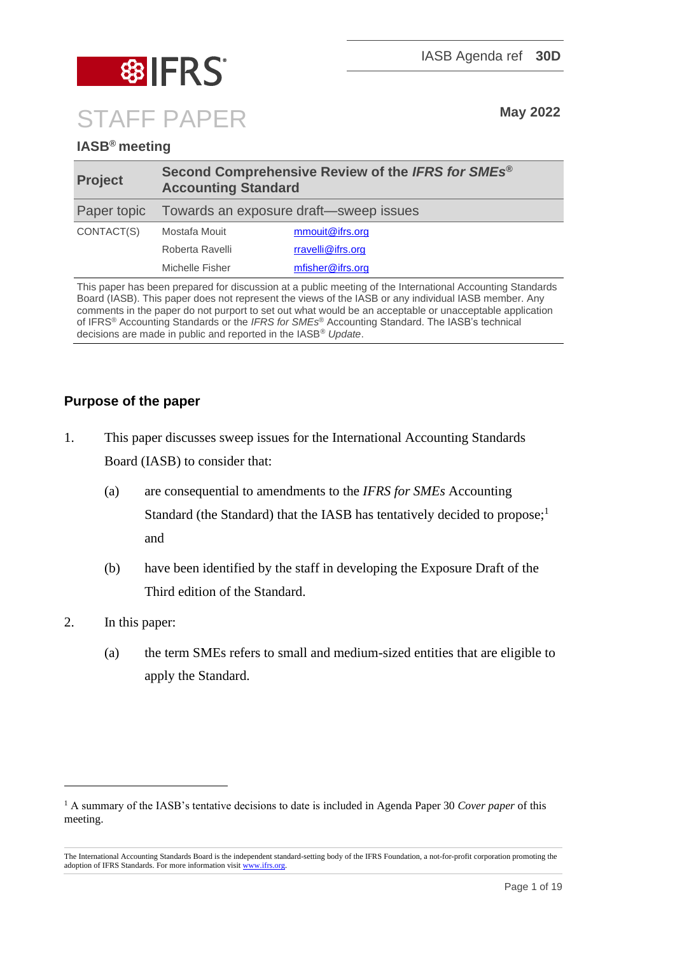

# **IASB® meeting**

| <b>Project</b> | Second Comprehensive Review of the IFRS for SMEs®<br><b>Accounting Standard</b> |                   |
|----------------|---------------------------------------------------------------------------------|-------------------|
| Paper topic    | Towards an exposure draft-sweep issues                                          |                   |
| CONTACT(S)     | Mostafa Mouit                                                                   | mmouit@ifrs.org   |
|                | Roberta Ravelli                                                                 | rravelli@ifrs.org |
|                | Michelle Fisher                                                                 | mfisher@ifrs.org  |

This paper has been prepared for discussion at a public meeting of the International Accounting Standards Board (IASB). This paper does not represent the views of the IASB or any individual IASB member. Any comments in the paper do not purport to set out what would be an acceptable or unacceptable application of IFRS® Accounting Standards or the *IFRS for SMEs*® Accounting Standard. The IASB's technical decisions are made in public and reported in the IASB® *Update*.

# **Purpose of the paper**

- 1. This paper discusses sweep issues for the International Accounting Standards Board (IASB) to consider that:
	- (a) are consequential to amendments to the *IFRS for SMEs* Accounting Standard (the Standard) that the IASB has tentatively decided to propose;<sup>1</sup> and
	- (b) have been identified by the staff in developing the Exposure Draft of the Third edition of the Standard.
- 2. In this paper:
	- (a) the term SMEs refers to small and medium-sized entities that are eligible to apply the Standard.

<sup>1</sup> A summary of the IASB's tentative decisions to date is included in Agenda Paper 30 *Cover paper* of this meeting.

The International Accounting Standards Board is the independent standard-setting body of the IFRS Foundation, a not-for-profit corporation promoting the adoption of IFRS Standards. For more information visit [www.ifrs.org.](http://www.ifrs.org/)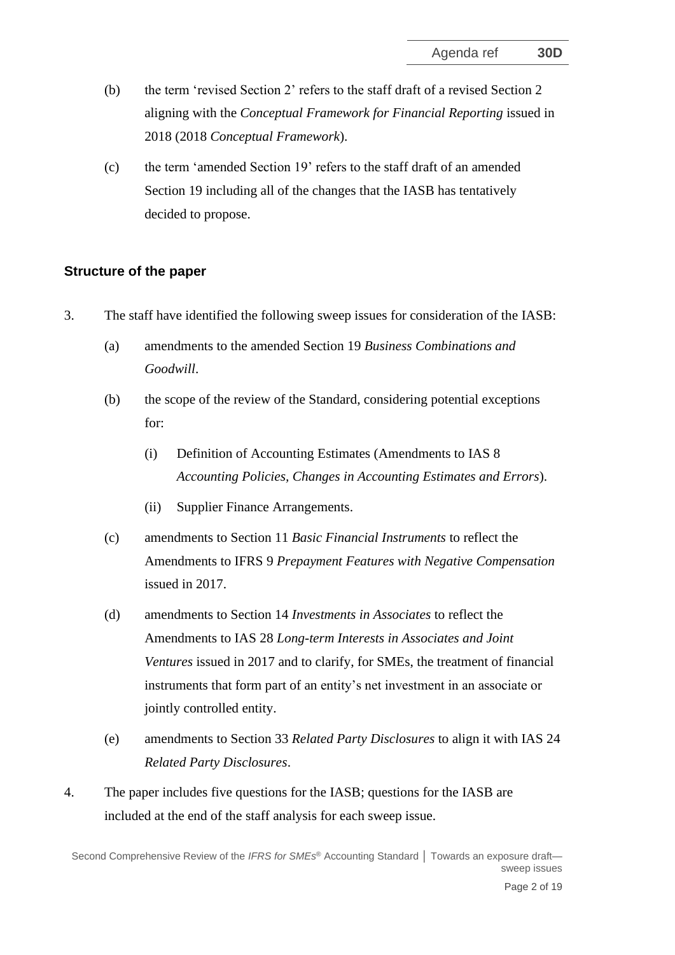- (b) the term 'revised Section 2' refers to the staff draft of a revised Section 2 aligning with the *Conceptual Framework for Financial Reporting* issued in 2018 (2018 *Conceptual Framework*).
- (c) the term 'amended Section 19' refers to the staff draft of an amended Section 19 including all of the changes that the IASB has tentatively decided to propose.

## **Structure of the paper**

- 3. The staff have identified the following sweep issues for consideration of the IASB:
	- (a) amendments to the amended Section 19 *Business Combinations and Goodwill*.
	- (b) the scope of the review of the Standard, considering potential exceptions for:
		- (i) Definition of Accounting Estimates (Amendments to IAS 8 *Accounting Policies, Changes in Accounting Estimates and Errors*).
		- (ii) Supplier Finance Arrangements.
	- (c) amendments to Section 11 *Basic Financial Instruments* to reflect the Amendments to IFRS 9 *Prepayment Features with Negative Compensation* issued in 2017.
	- (d) amendments to Section 14 *Investments in Associates* to reflect the Amendments to IAS 28 *Long-term Interests in Associates and Joint Ventures* issued in 2017 and to clarify, for SMEs, the treatment of financial instruments that form part of an entity's net investment in an associate or jointly controlled entity.
	- (e) amendments to Section 33 *Related Party Disclosures* to align it with IAS 24 *Related Party Disclosures*.
- 4. The paper includes five questions for the IASB; questions for the IASB are included at the end of the staff analysis for each sweep issue.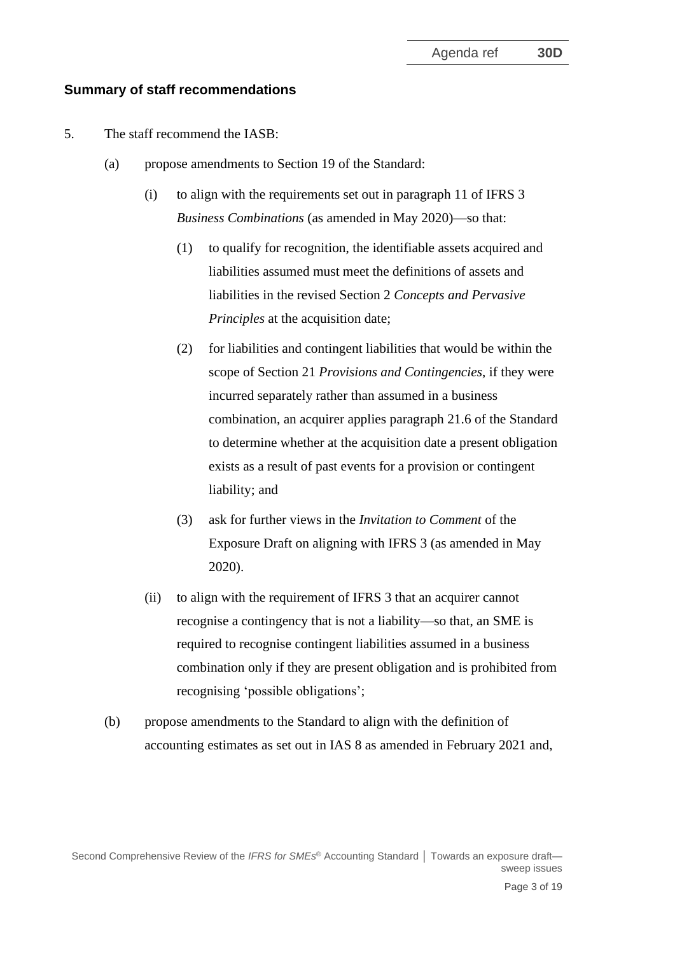#### **Summary of staff recommendations**

- 5. The staff recommend the IASB:
	- (a) propose amendments to Section 19 of the Standard:
		- (i) to align with the requirements set out in paragraph 11 of IFRS 3 *Business Combinations* (as amended in May 2020)—so that:
			- (1) to qualify for recognition, the identifiable assets acquired and liabilities assumed must meet the definitions of assets and liabilities in the revised Section 2 *Concepts and Pervasive Principles* at the acquisition date;
			- (2) for liabilities and contingent liabilities that would be within the scope of Section 21 *Provisions and Contingencies*, if they were incurred separately rather than assumed in a business combination, an acquirer applies paragraph 21.6 of the Standard to determine whether at the acquisition date a present obligation exists as a result of past events for a provision or contingent liability; and
			- (3) ask for further views in the *Invitation to Comment* of the Exposure Draft on aligning with IFRS 3 (as amended in May 2020).
		- (ii) to align with the requirement of IFRS 3 that an acquirer cannot recognise a contingency that is not a liability—so that, an SME is required to recognise contingent liabilities assumed in a business combination only if they are present obligation and is prohibited from recognising 'possible obligations';
	- (b) propose amendments to the Standard to align with the definition of accounting estimates as set out in IAS 8 as amended in February 2021 and,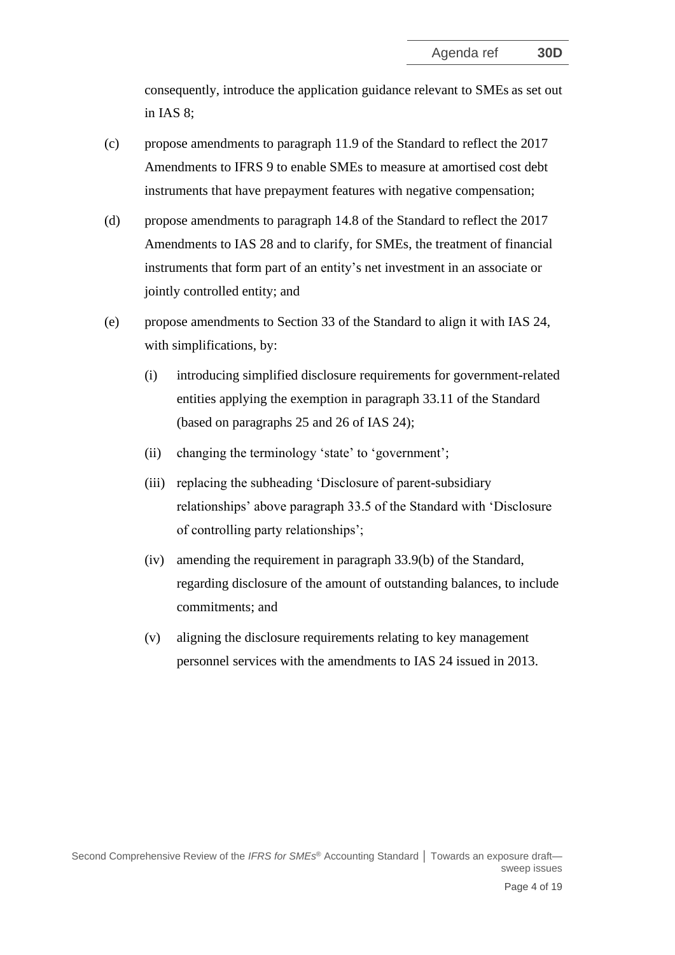consequently, introduce the application guidance relevant to SMEs as set out in IAS 8;

- (c) propose amendments to paragraph 11.9 of the Standard to reflect the 2017 Amendments to IFRS 9 to enable SMEs to measure at amortised cost debt instruments that have prepayment features with negative compensation;
- (d) propose amendments to paragraph 14.8 of the Standard to reflect the 2017 Amendments to IAS 28 and to clarify, for SMEs, the treatment of financial instruments that form part of an entity's net investment in an associate or jointly controlled entity; and
- (e) propose amendments to Section 33 of the Standard to align it with IAS 24, with simplifications, by:
	- (i) introducing simplified disclosure requirements for government-related entities applying the exemption in paragraph 33.11 of the Standard (based on paragraphs 25 and 26 of IAS 24);
	- (ii) changing the terminology 'state' to 'government';
	- (iii) replacing the subheading 'Disclosure of parent-subsidiary relationships' above paragraph 33.5 of the Standard with 'Disclosure of controlling party relationships';
	- (iv) amending the requirement in paragraph 33.9(b) of the Standard, regarding disclosure of the amount of outstanding balances, to include commitments; and
	- (v) aligning the disclosure requirements relating to key management personnel services with the amendments to IAS 24 issued in 2013.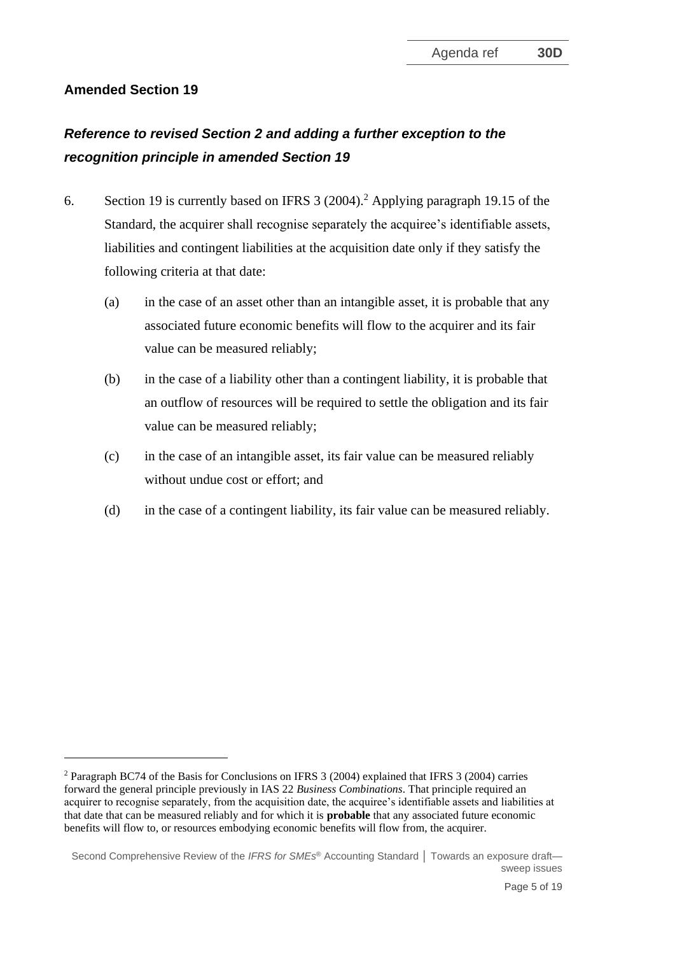# **Amended Section 19**

# *Reference to revised Section 2 and adding a further exception to the recognition principle in amended Section 19*

- <span id="page-4-0"></span>6. Section 19 is currently based on IFRS 3 (2004).<sup>2</sup> Applying paragraph 19.15 of the Standard, the acquirer shall recognise separately the acquiree's identifiable assets, liabilities and contingent liabilities at the acquisition date only if they satisfy the following criteria at that date:
	- (a) in the case of an asset other than an intangible asset, it is probable that any associated future economic benefits will flow to the acquirer and its fair value can be measured reliably;
	- (b) in the case of a liability other than a contingent liability, it is probable that an outflow of resources will be required to settle the obligation and its fair value can be measured reliably;
	- (c) in the case of an intangible asset, its fair value can be measured reliably without undue cost or effort; and
	- (d) in the case of a contingent liability, its fair value can be measured reliably.

<sup>2</sup> Paragraph BC74 of the Basis for Conclusions on IFRS 3 (2004) explained that IFRS 3 (2004) carries forward the general principle previously in IAS 22 *Business Combinations*. That principle required an acquirer to recognise separately, from the acquisition date, the acquiree's identifiable assets and liabilities at that date that can be measured reliably and for which it is **probable** that any associated future economic benefits will flow to, or resources embodying economic benefits will flow from, the acquirer.

Second Comprehensive Review of the *IFRS for SMEs* ® Accounting Standard **│** Towards an exposure draft sweep issues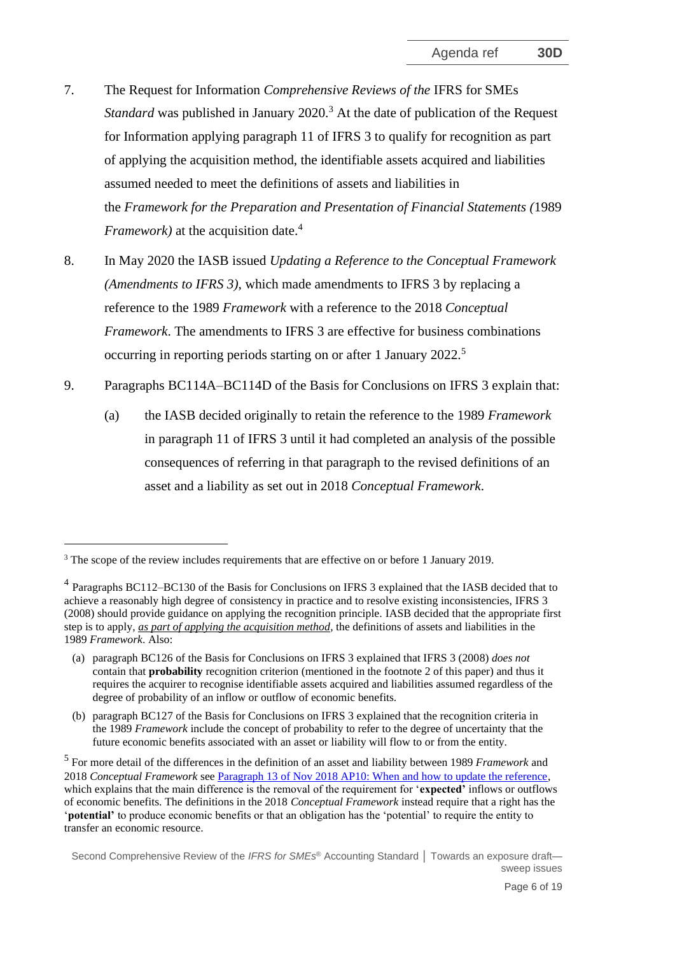- 7. The Request for Information *Comprehensive Reviews of the* IFRS for SMEs *Standard* was published in January 2020.<sup>3</sup> At the date of publication of the Request for Information applying paragraph 11 of IFRS 3 to qualify for recognition as part of applying the acquisition method, the [identifiable](https://eifrs.ifrs.org/eifrs/ViewContent?collection=2021_Annotated_Required_Standards&fn=IFRS03_APPA.html&scrollTo=IFRS03_APPA__IFRS03_P0314) assets acquired and liabilities assumed needed to meet the definitions of assets and liabilities in the *Framework for the Preparation and Presentation of Financial Statements (*1989 *Framework)* at the [acquisition date.](https://eifrs.ifrs.org/eifrs/ViewContent?collection=2021_Annotated_Required_Standards&fn=IFRS03_APPA.html&scrollTo=IFRS03_APPA__IFRS03_P0298) 4
- <span id="page-5-0"></span>8. In May 2020 the IASB issued *Updating a Reference to the Conceptual Framework (Amendments to IFRS 3)*, which made amendments to IFRS 3 by replacing a reference to the 1989 *Framework* with a reference to the 2018 *Conceptual Framework*. The amendments to IFRS 3 are effective for business combinations occurring in reporting periods starting on or after 1 January 2022.<sup>5</sup>
- <span id="page-5-1"></span>9. Paragraphs BC114A–BC114D of the Basis for Conclusions on IFRS 3 explain that:
	- (a) the IASB decided originally to retain the reference to the 1989 *Framework* in paragraph 11 of IFRS 3 until it had completed an analysis of the possible consequences of referring in that paragraph to the revised definitions of an asset and a liability as set out in 2018 *Conceptual Framework*.

<sup>&</sup>lt;sup>3</sup> The scope of the review includes requirements that are effective on or before 1 January 2019.

<sup>&</sup>lt;sup>4</sup> Paragraphs BC112–BC130 of the Basis for Conclusions on IFRS 3 explained that the IASB decided that to achieve a reasonably high degree of consistency in practice and to resolve existing inconsistencies, IFRS 3 (2008) should provide guidance on applying the recognition principle. IASB decided that the appropriate first step is to apply, *as part of applying the acquisition method*, the definitions of assets and liabilities in the 1989 *Framework*. Also:

<sup>(</sup>a) paragraph BC126 of the Basis for Conclusions on IFRS 3 explained that IFRS 3 (2008) *does not* contain that **probability** recognition criterion (mentioned in the footnote 2 of this paper) and thus it requires the acquirer to recognise identifiable assets acquired and liabilities assumed regardless of the degree of probability of an inflow or outflow of economic benefits.

<sup>(</sup>b) paragraph BC127 of the Basis for Conclusions on IFRS 3 explained that the recognition criteria in the 1989 *Framework* include the concept of probability to refer to the degree of uncertainty that the future economic benefits associated with an asset or liability will flow to or from the entity.

<sup>5</sup> For more detail of the differences in the definition of an asset and liability between 1989 *Framework* and 2018 *Conceptual Framework* see [Paragraph 13 of Nov 2018 AP10: When and how to update the reference,](https://www.ifrs.org/content/dam/ifrs/meetings/2018/november/iasb/ap10-cf.pdf)  which explains that the main difference is the removal of the requirement for '**expected'** inflows or outflows of economic benefits. The definitions in the 2018 *Conceptual Framework* instead require that a right has the '**potential'** to produce economic benefits or that an obligation has the 'potential' to require the entity to transfer an economic resource.

Second Comprehensive Review of the *IFRS for SMEs* ® Accounting Standard **│** Towards an exposure draft sweep issues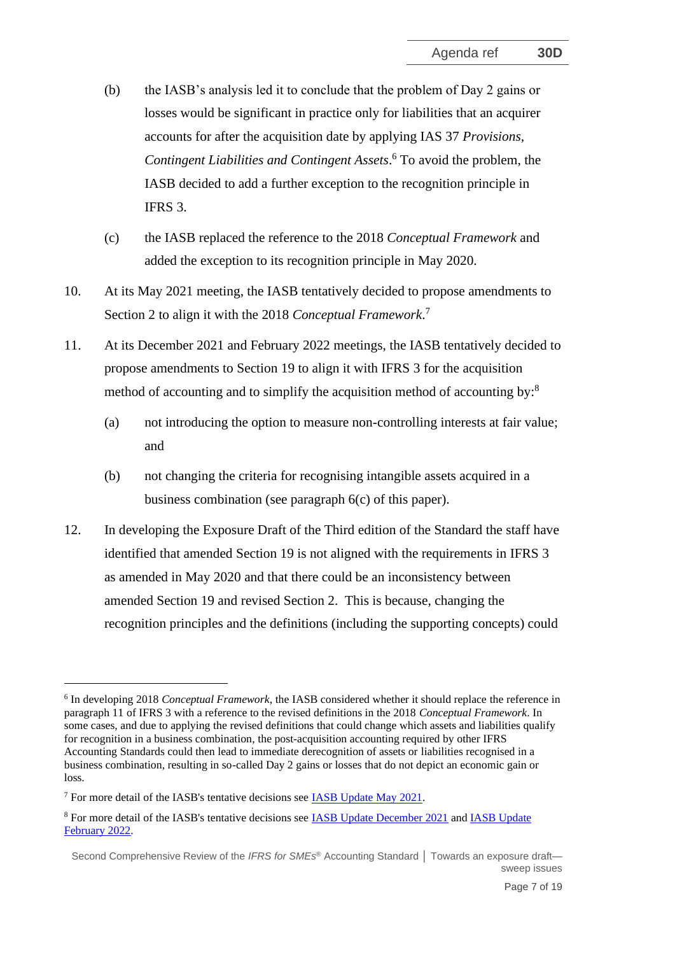- <span id="page-6-1"></span>(b) the IASB's analysis led it to conclude that the problem of Day 2 gains or losses would be significant in practice only for liabilities that an acquirer accounts for after the acquisition date by applying IAS 37 *Provisions, Contingent Liabilities and Contingent Assets*. <sup>6</sup> To avoid the problem, the IASB decided to add a further exception to the recognition principle in IFRS 3.
- (c) the IASB replaced the reference to the 2018 *Conceptual Framework* and added the exception to its recognition principle in May 2020.
- 10. At its May 2021 meeting, the IASB tentatively decided to propose amendments to Section 2 to align it with the 2018 *Conceptual Framework*. 7
- 11. At its December 2021 and February 2022 meetings, the IASB tentatively decided to propose amendments to Section 19 to align it with IFRS 3 for the acquisition method of accounting and to simplify the acquisition method of accounting by:<sup>8</sup>
	- (a) not introducing the option to measure non-controlling interests at fair value; and
	- (b) not changing the criteria for recognising intangible assets acquired in a business combination (see paragraph [6\(](#page-4-0)c) of this paper).
- <span id="page-6-0"></span>12. In developing the Exposure Draft of the Third edition of the Standard the staff have identified that amended Section 19 is not aligned with the requirements in IFRS 3 as amended in May 2020 and that there could be an inconsistency between amended Section 19 and revised Section 2. This is because, changing the recognition principles and the definitions (including the supporting concepts) could

<sup>6</sup> In developing 2018 *Conceptual Framework*, the IASB considered whether it should replace the reference in paragraph 11 of IFRS 3 with a reference to the revised definitions in the 2018 *Conceptual Framework*. In some cases, and due to applying the revised definitions that could change which assets and liabilities qualify for recognition in a business combination, the post-acquisition accounting required by other IFRS Accounting Standards could then lead to immediate derecognition of assets or liabilities recognised in a business combination, resulting in so-called Day 2 gains or losses that do not depict an economic gain or loss.

<sup>7</sup> For more detail of the IASB's tentative decisions see [IASB Update May 2021.](https://www.ifrs.org/news-and-events/updates/iasb/2021/iasb-update-may-2021/#5)

<sup>8</sup> For more detail of the IASB's tentative decisions see [IASB Update December 2021](https://www.ifrs.org/news-and-events/updates/iasb/2021/iasb-update-december-2021/#5) and [IASB Update](https://www.ifrs.org/news-and-events/updates/iasb/2022/iasb-update-february-2022/#7)  [February 2022.](https://www.ifrs.org/news-and-events/updates/iasb/2022/iasb-update-february-2022/#7) 

Second Comprehensive Review of the *IFRS for SMEs* ® Accounting Standard **│** Towards an exposure draft sweep issues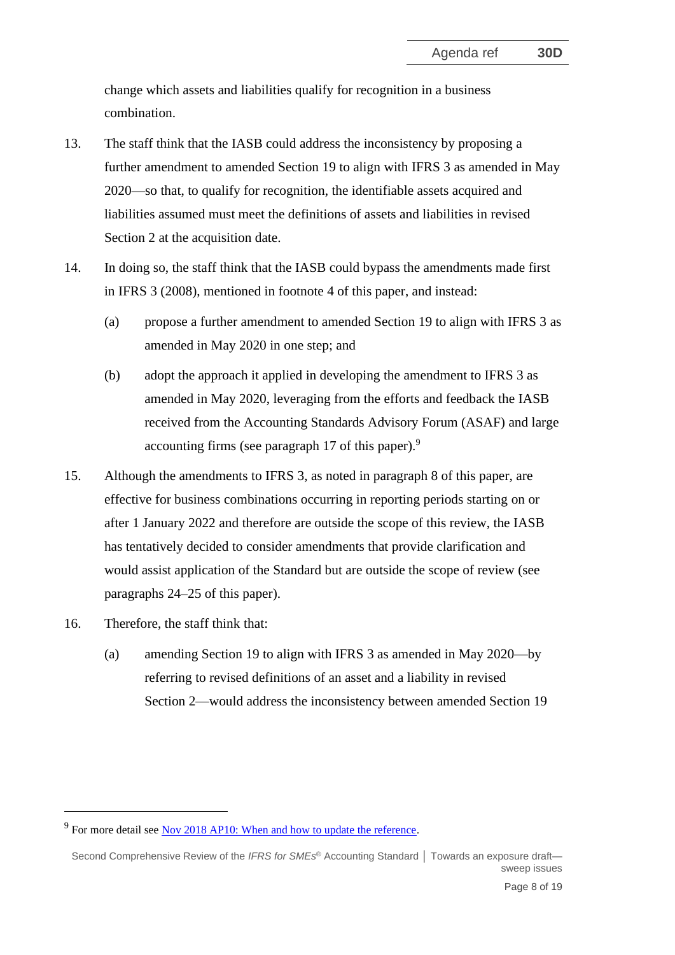change which assets and liabilities qualify for recognition in a business combination.

- 13. The staff think that the IASB could address the inconsistency by proposing a further amendment to amended Section 19 to align with IFRS 3 as amended in May 2020—so that, to qualify for recognition, the identifiable assets acquired and liabilities assumed must meet the definitions of assets and liabilities in revised Section 2 at the acquisition date.
- <span id="page-7-0"></span>14. In doing so, the staff think that the IASB could bypass the amendments made first in IFRS 3 (2008), mentioned in footnote 4 of this paper, and instead:
	- (a) propose a further amendment to amended Section 19 to align with IFRS 3 as amended in May 2020 in one step; and
	- (b) adopt the approach it applied in developing the amendment to IFRS 3 as amended in May 2020, leveraging from the efforts and feedback the IASB received from the Accounting Standards Advisory Forum (ASAF) and large accounting firms (see paragraph [17](#page-8-0) of this paper).<sup>9</sup>
- 15. Although the amendments to IFRS 3, as noted in paragraph [8](#page-5-0) of this paper, are effective for business combinations occurring in reporting periods starting on or after 1 January 2022 and therefore are outside the scope of this review, the IASB has tentatively decided to consider amendments that provide clarification and would assist application of the Standard but are outside the scope of review (see paragraphs [24–](#page-11-0)[25](#page-11-1) of this paper).
- 16. Therefore, the staff think that:
	- (a) amending Section 19 to align with IFRS 3 as amended in May 2020—by referring to revised definitions of an asset and a liability in revised Section 2—would address the inconsistency between amended Section 19

 $9^9$  For more detail see [Nov 2018 AP10: When and how to update the reference.](https://www.ifrs.org/content/dam/ifrs/meetings/2018/november/iasb/ap10-cf.pdf)

Second Comprehensive Review of the *IFRS for SMEs* ® Accounting Standard **│** Towards an exposure draft sweep issues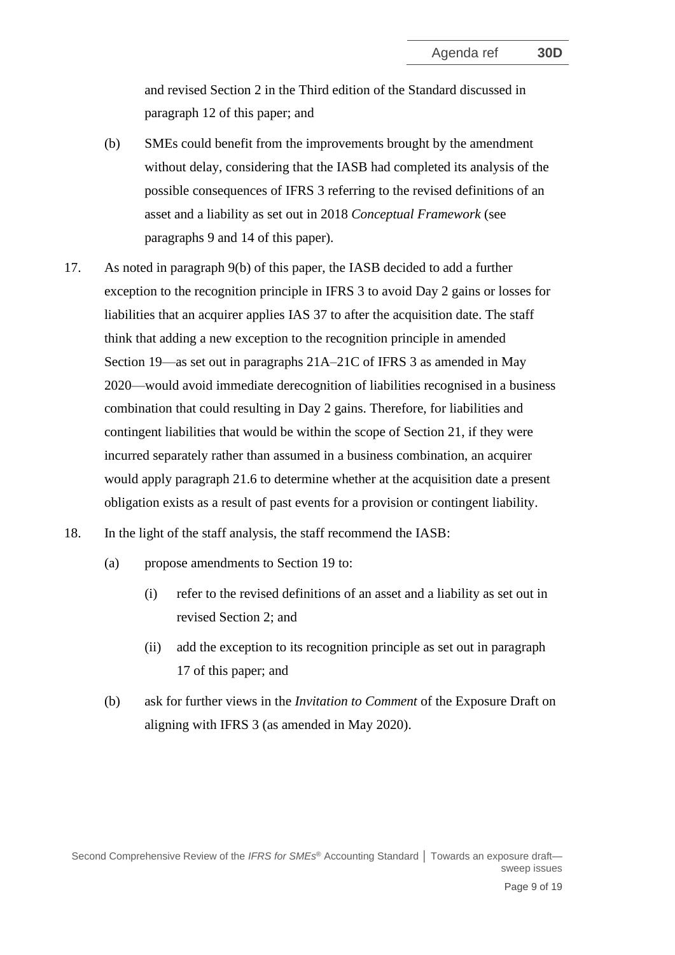and revised Section 2 in the Third edition of the Standard discussed in paragraph [12](#page-6-0) of this paper; and

- (b) SMEs could benefit from the improvements brought by the amendment without delay, considering that the IASB had completed its analysis of the possible consequences of IFRS 3 referring to the revised definitions of an asset and a liability as set out in 2018 *Conceptual Framework* (see paragraphs [9](#page-5-1) and [14](#page-7-0) of this paper).
- <span id="page-8-0"></span>17. As noted in paragraph [9\(b\)](#page-6-1) of this paper, the IASB decided to add a further exception to the recognition principle in IFRS 3 to avoid Day 2 gains or losses for liabilities that an acquirer applies IAS 37 to after the acquisition date. The staff think that adding a new exception to the recognition principle in amended Section 19—as set out in paragraphs 21A–21C of IFRS 3 as amended in May 2020—would avoid immediate derecognition of liabilities recognised in a business combination that could resulting in Day 2 gains. Therefore, for liabilities and contingent liabilities that would be within the scope of Section 21, if they were incurred separately rather than assumed in a business combination, an acquirer would apply paragraph 21.6 to determine whether at the acquisition date a present obligation exists as a result of past events for a provision or contingent liability.
- <span id="page-8-1"></span>18. In the light of the staff analysis, the staff recommend the IASB:
	- (a) propose amendments to Section 19 to:
		- (i) refer to the revised definitions of an asset and a liability as set out in revised Section 2; and
		- (ii) add the exception to its recognition principle as set out in paragraph [17](#page-8-0) of this paper; and
	- (b) ask for further views in the *Invitation to Comment* of the Exposure Draft on aligning with IFRS 3 (as amended in May 2020).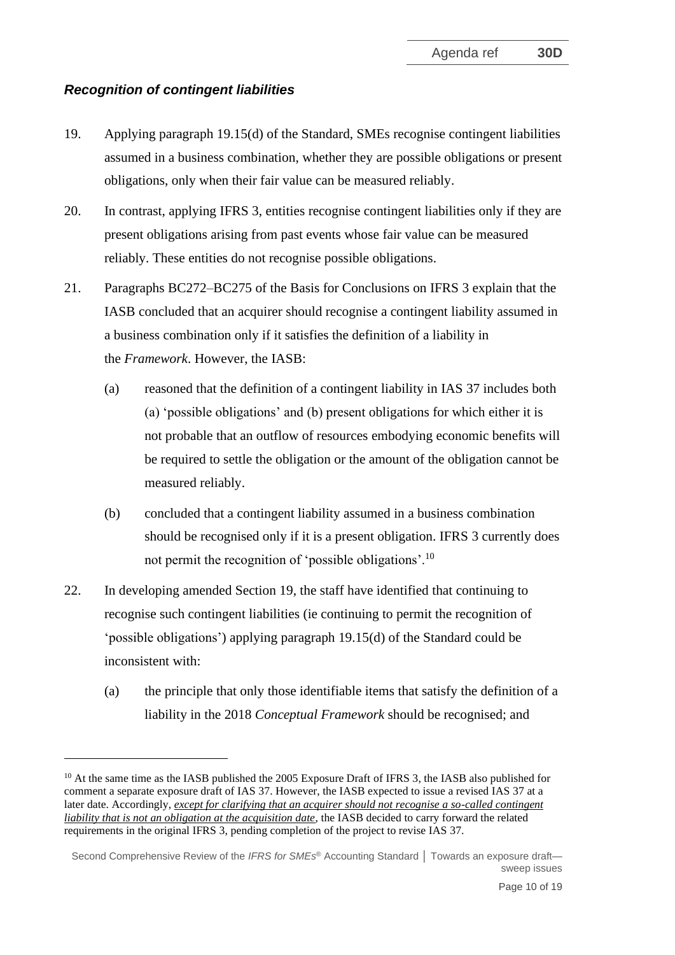# *Recognition of contingent liabilities*

- 19. Applying paragraph 19.15(d) of the Standard, SMEs recognise contingent liabilities assumed in a business combination, whether they are possible obligations or present obligations, only when their fair value can be measured reliably.
- 20. In contrast, applying IFRS 3, entities recognise contingent liabilities only if they are present obligations arising from past events whose fair value can be measured reliably. These entities do not recognise possible obligations.
- 21. Paragraphs BC272–BC275 of the Basis for Conclusions on IFRS 3 explain that the IASB concluded that an acquirer should recognise a contingent liability assumed in a business combination only if it satisfies the definition of a liability in the *Framework*. However, the IASB:
	- (a) reasoned that the definition of a contingent liability in [IAS](https://eifrs.ifrs.org/eifrs/ViewContent?collection=2021_Annotated_Issued_Standards&fn=IAS37_CHK_FM.html&scrollTo=IAS37_TOC0001) 37 includes both (a) 'possible obligations' and (b) present obligations for which either it is not probable that an outflow of resources embodying economic benefits will be required to settle the obligation or the amount of the obligation cannot be measured reliably.
	- (b) concluded that a contingent liability assumed in a business combination should be recognised only if it is a present obligation. IFRS 3 currently does not permit the recognition of 'possible obligations'.<sup>10</sup>
- 22. In developing amended Section 19, the staff have identified that continuing to recognise such contingent liabilities (ie continuing to permit the recognition of 'possible obligations') applying paragraph 19.15(d) of the Standard could be inconsistent with:
	- (a) the principle that only those identifiable items that satisfy the definition of a liability in the 2018 *Conceptual Framework* should be recognised; and

<sup>&</sup>lt;sup>10</sup> At the same time as the IASB published the 2005 Exposure Draft of IFRS 3, the IASB also published for comment a separate exposure draft of [IAS](https://eifrs.ifrs.org/eifrs/ViewContent?collection=2021_Annotated_Issued_Standards&fn=IAS37_CHK_FM.html&scrollTo=IAS37_TOC0001) 37. However, the IASB expected to issue a revised IAS 37 at a later date. Accordingly, *except for clarifying that an acquirer should not recognise a so-called contingent liability that is not an obligation at the acquisition date*, the IASB decided to carry forward the related requirements in the original IFRS 3, pending completion of the project to revise IAS 37.

Second Comprehensive Review of the *IFRS for SMEs* ® Accounting Standard **│** Towards an exposure draft sweep issues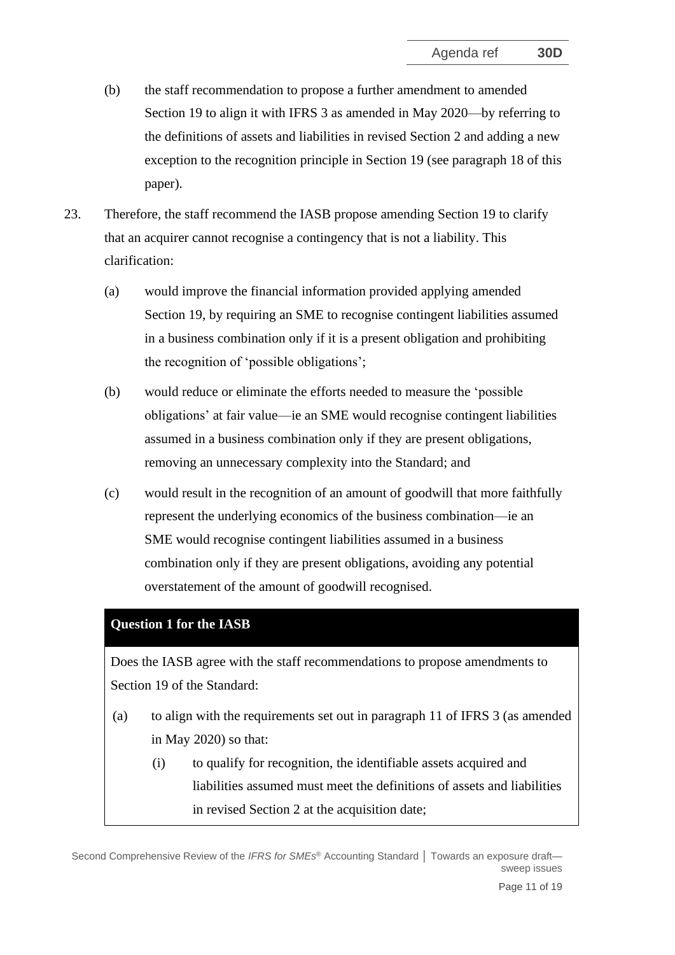- (b) the staff recommendation to propose a further amendment to amended Section 19 to align it with IFRS 3 as amended in May 2020—by referring to the definitions of assets and liabilities in revised Section 2 and adding a new exception to the recognition principle in Section 19 (see paragraph [18](#page-8-1) of this paper).
- 23. Therefore, the staff recommend the IASB propose amending Section 19 to clarify that an acquirer cannot recognise a contingency that is not a liability. This clarification:
	- (a) would improve the financial information provided applying amended Section 19, by requiring an SME to recognise contingent liabilities assumed in a business combination only if it is a present obligation and prohibiting the recognition of 'possible obligations';
	- (b) would reduce or eliminate the efforts needed to measure the 'possible obligations' at fair value—ie an SME would recognise contingent liabilities assumed in a business combination only if they are present obligations, removing an unnecessary complexity into the Standard; and
	- (c) would result in the recognition of an amount of goodwill that more faithfully represent the underlying economics of the business combination—ie an SME would recognise contingent liabilities assumed in a business combination only if they are present obligations, avoiding any potential overstatement of the amount of goodwill recognised.

#### **Question 1 for the IASB**

Does the IASB agree with the staff recommendations to propose amendments to Section 19 of the Standard:

- (a) to align with the requirements set out in paragraph 11 of IFRS 3 (as amended in May 2020) so that:
	- (i) to qualify for recognition, the identifiable assets acquired and liabilities assumed must meet the definitions of assets and liabilities in revised Section 2 at the acquisition date;

Second Comprehensive Review of the *IFRS for SMEs* ® Accounting Standard **│** Towards an exposure draft sweep issues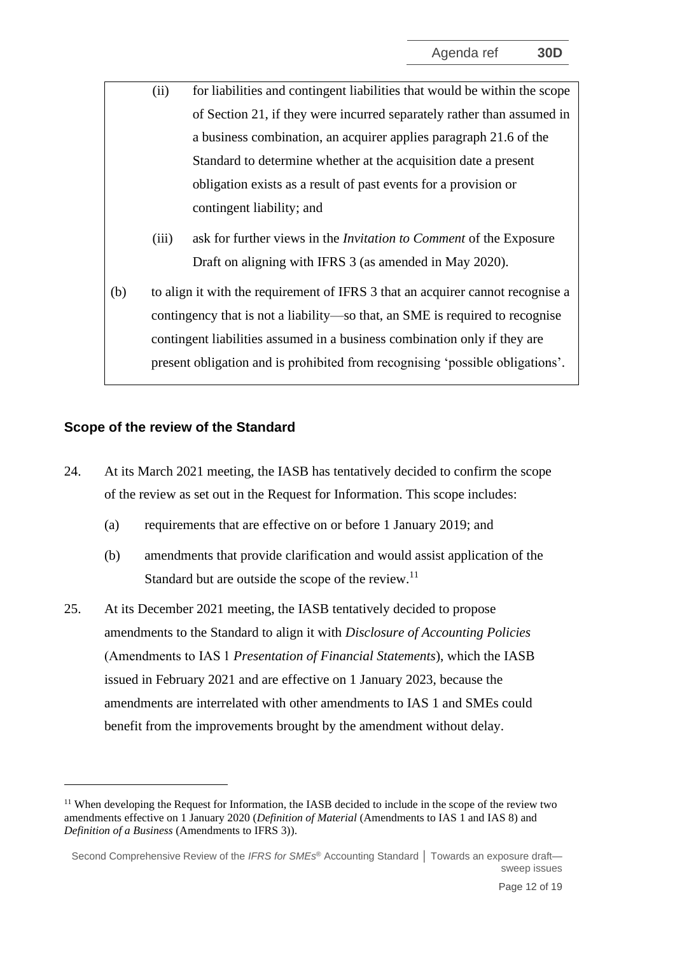- (ii) for liabilities and contingent liabilities that would be within the scope of Section 21, if they were incurred separately rather than assumed in a business combination, an acquirer applies paragraph 21.6 of the Standard to determine whether at the acquisition date a present obligation exists as a result of past events for a provision or contingent liability; and
	- (iii) ask for further views in the *Invitation to Comment* of the Exposure Draft on aligning with IFRS 3 (as amended in May 2020).
- (b) to align it with the requirement of IFRS 3 that an acquirer cannot recognise a contingency that is not a liability—so that, an SME is required to recognise contingent liabilities assumed in a business combination only if they are present obligation and is prohibited from recognising 'possible obligations'.

#### **Scope of the review of the Standard**

- <span id="page-11-0"></span>24. At its March 2021 meeting, the IASB has tentatively decided to confirm the scope of the review as set out in the Request for Information. This scope includes:
	- (a) requirements that are effective on or before 1 January 2019; and
	- (b) amendments that provide clarification and would assist application of the Standard but are outside the scope of the review.<sup>11</sup>
- <span id="page-11-1"></span>25. At its December 2021 meeting, the IASB tentatively decided to propose amendments to the Standard to align it with *Disclosure of Accounting Policies* (Amendments to IAS 1 *Presentation of Financial Statements*), which the IASB issued in February 2021 and are effective on 1 January 2023, because the amendments are interrelated with other amendments to IAS 1 and SMEs could benefit from the improvements brought by the amendment without delay.

<sup>&</sup>lt;sup>11</sup> When developing the Request for Information, the IASB decided to include in the scope of the review two amendments effective on 1 January 2020 (*Definition of Material* (Amendments to IAS 1 and IAS 8) and *Definition of a Business* (Amendments to IFRS 3)).

Second Comprehensive Review of the *IFRS for SMEs* ® Accounting Standard **│** Towards an exposure draft sweep issues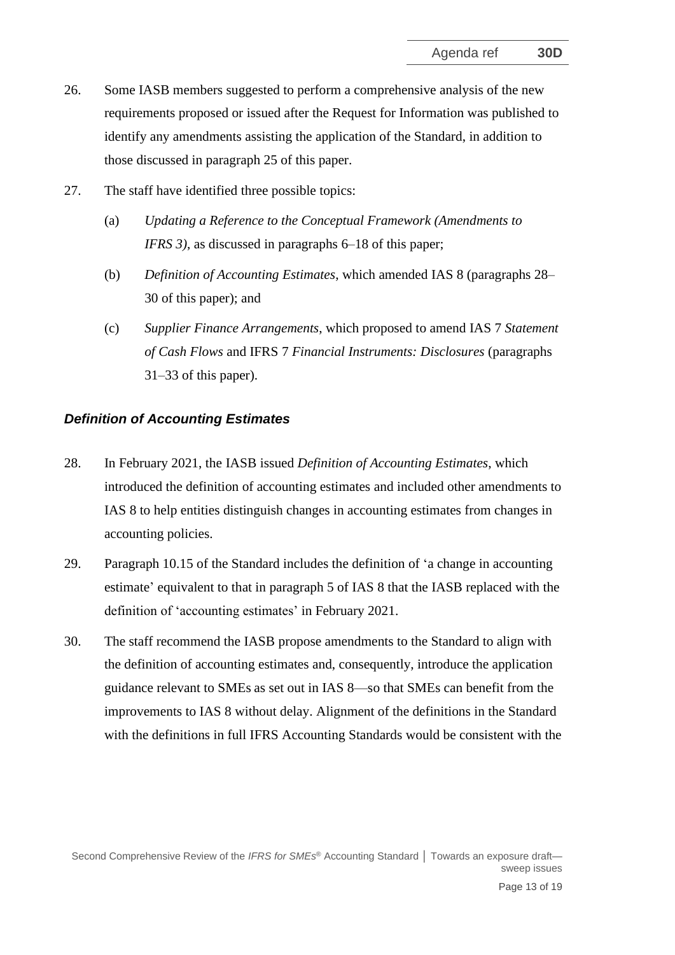- 26. Some IASB members suggested to perform a comprehensive analysis of the new requirements proposed or issued after the Request for Information was published to identify any amendments assisting the application of the Standard, in addition to those discussed in paragraph [25](#page-11-1) of this paper.
- 27. The staff have identified three possible topics:
	- (a) *Updating a Reference to the Conceptual Framework (Amendments to IFRS 3)*, as discussed in paragraphs [6](#page-4-0)[–18](#page-8-1) of this paper;
	- (b) *Definition of Accounting Estimates*, which amended IAS 8 (paragraphs [28–](#page-12-0) [30](#page-12-1) of this paper); and
	- (c) *Supplier Finance Arrangements*, which proposed to amend IAS 7 *Statement of Cash Flows* and IFRS 7 *Financial Instruments: Disclosures* (paragraphs [31](#page-13-0)[–33](#page-13-1) of this paper).

# *Definition of Accounting Estimates*

- <span id="page-12-0"></span>28. In February 2021, the IASB issued *Definition of Accounting Estimates*, which introduced the definition of accounting estimates and included other amendments to IAS 8 to help entities distinguish changes in accounting estimates from changes in accounting policies.
- 29. Paragraph 10.15 of the Standard includes the definition of 'a change in accounting estimate' equivalent to that in paragraph 5 of IAS 8 that the IASB replaced with the definition of 'accounting estimates' in February 2021.
- <span id="page-12-1"></span>30. The staff recommend the IASB propose amendments to the Standard to align with the definition of accounting estimates and, consequently, introduce the application guidance relevant to SMEs as set out in IAS 8—so that SMEs can benefit from the improvements to IAS 8 without delay. Alignment of the definitions in the Standard with the definitions in full IFRS Accounting Standards would be consistent with the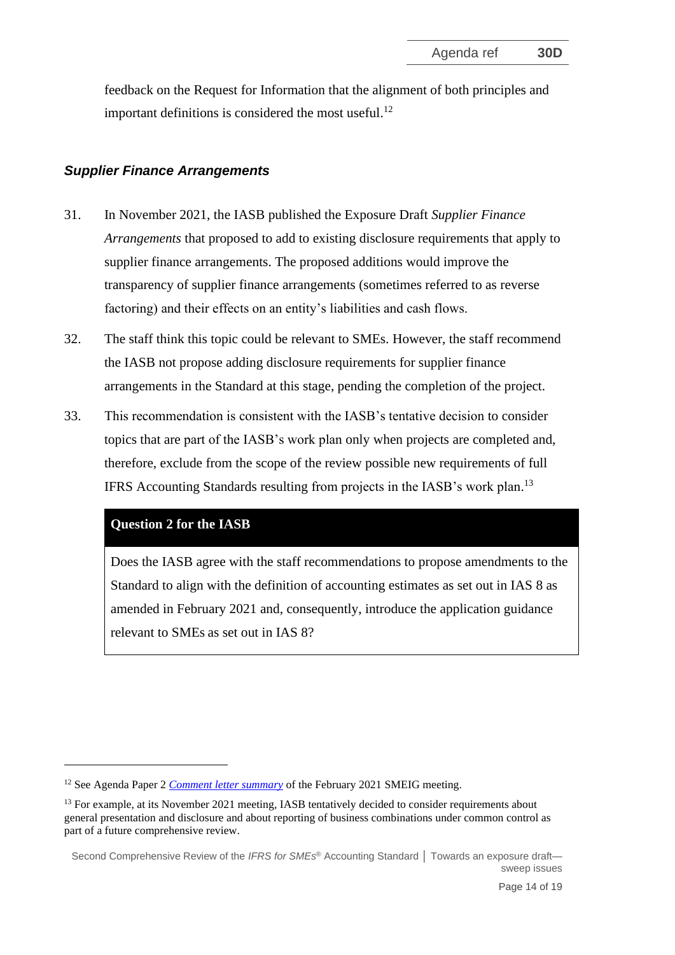feedback on the Request for Information that the alignment of both principles and important definitions is considered the most useful.<sup>12</sup>

## *Supplier Finance Arrangements*

- <span id="page-13-0"></span>31. In November 2021, the IASB published the Exposure Draft *Supplier Finance Arrangements* that proposed to add to existing disclosure requirements that apply to supplier finance arrangements. The proposed additions would improve the transparency of supplier finance arrangements (sometimes referred to as reverse factoring) and their effects on an entity's liabilities and cash flows.
- 32. The staff think this topic could be relevant to SMEs. However, the staff recommend the IASB not propose adding disclosure requirements for supplier finance arrangements in the Standard at this stage, pending the completion of the project.
- <span id="page-13-1"></span>33. This recommendation is consistent with the IASB's tentative decision to consider topics that are part of the IASB's work plan only when projects are completed and, therefore, exclude from the scope of the review possible new requirements of full IFRS Accounting Standards resulting from projects in the IASB's work plan.<sup>13</sup>

#### **Question 2 for the IASB**

Does the IASB agree with the staff recommendations to propose amendments to the Standard to align with the definition of accounting estimates as set out in IAS 8 as amended in February 2021 and, consequently, introduce the application guidance relevant to SMEs as set out in IAS 8?

<sup>&</sup>lt;sup>12</sup> See Agenda Paper 2 *[Comment letter summary](https://www.ifrs.org/content/dam/ifrs/meetings/2021/february/sme-implementation-group/ap2-smeig-feb-2021-cl-summary.pdf)* of the February 2021 SMEIG meeting.

<sup>&</sup>lt;sup>13</sup> For example, at its November 2021 meeting, IASB tentatively decided to consider requirements about general presentation and disclosure and about reporting of business combinations under common control as part of a future comprehensive review.

Second Comprehensive Review of the *IFRS for SMEs* ® Accounting Standard **│** Towards an exposure draft sweep issues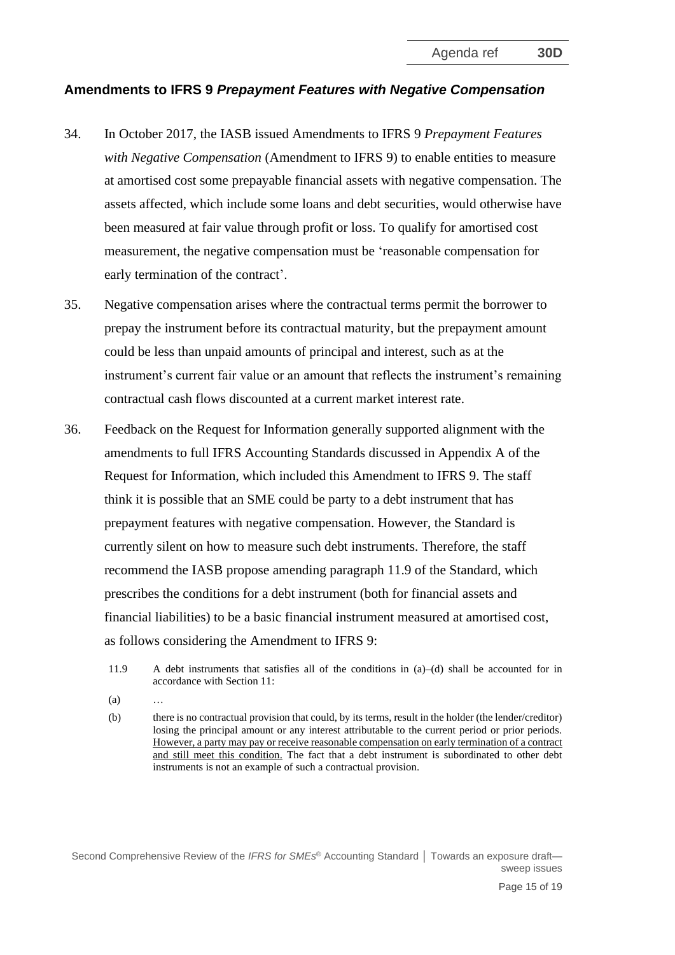#### **Amendments to IFRS 9** *Prepayment Features with Negative Compensation*

- 34. In October 2017, the IASB issued Amendments to IFRS 9 *Prepayment Features with Negative Compensation* (Amendment to IFRS 9) to enable entities to measure at amortised cost some prepayable financial assets with negative compensation. The assets affected, which include some loans and debt securities, would otherwise have been measured at fair value through profit or loss. To qualify for amortised cost measurement, the negative compensation must be 'reasonable compensation for early termination of the contract'.
- 35. Negative compensation arises where the contractual terms permit the borrower to prepay the instrument before its contractual maturity, but the prepayment amount could be less than unpaid amounts of principal and interest, such as at the instrument's current fair value or an amount that reflects the instrument's remaining contractual cash flows discounted at a current market interest rate.
- 36. Feedback on the Request for Information generally supported alignment with the amendments to full IFRS Accounting Standards discussed in Appendix A of the Request for Information, which included this Amendment to IFRS 9. The staff think it is possible that an SME could be party to a debt instrument that has prepayment features with negative compensation. However, the Standard is currently silent on how to measure such debt instruments. Therefore, the staff recommend the IASB propose amending paragraph 11.9 of the Standard, which prescribes the conditions for a debt instrument (both for financial assets and financial liabilities) to be a basic financial instrument measured at amortised cost, as follows considering the Amendment to IFRS 9:
	- 11.9 A debt instruments that satisfies all of the conditions in (a)–(d) shall be accounted for in accordance with Section 11:
	- $(a)$
	- (b) there is no contractual provision that could, by its terms, result in the holder (the lender/creditor) losing the principal amount or any interest attributable to the current period or prior periods. However, a party may pay or receive reasonable compensation on early termination of a contract and still meet this condition. The fact that a debt instrument is subordinated to other debt instruments is not an example of such a contractual provision.

Second Comprehensive Review of the *IFRS for SMEs* ® Accounting Standard **│** Towards an exposure draft sweep issues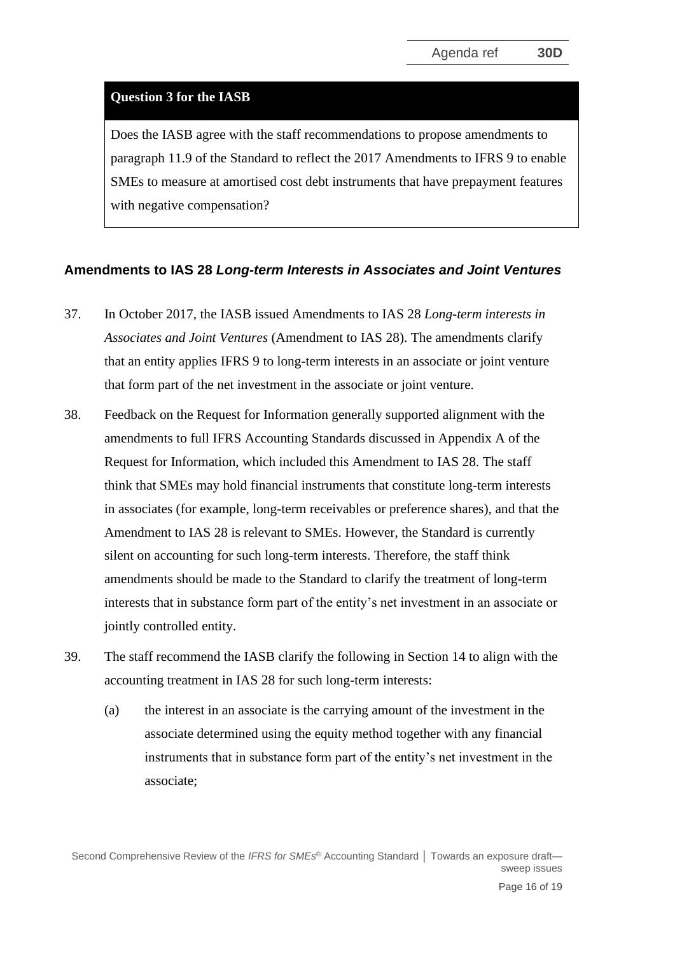#### **Question 3 for the IASB**

Does the IASB agree with the staff recommendations to propose amendments to paragraph 11.9 of the Standard to reflect the 2017 Amendments to IFRS 9 to enable SMEs to measure at amortised cost debt instruments that have prepayment features with negative compensation?

#### **Amendments to IAS 28** *Long-term Interests in Associates and Joint Ventures*

- 37. In October 2017, the IASB issued Amendments to IAS 28 *Long-term interests in Associates and Joint Ventures* (Amendment to IAS 28). The amendments clarify that an entity applies IFRS 9 to long-term interests in an associate or joint venture that form part of the net investment in the associate or joint venture.
- 38. Feedback on the Request for Information generally supported alignment with the amendments to full IFRS Accounting Standards discussed in Appendix A of the Request for Information, which included this Amendment to IAS 28. The staff think that SMEs may hold financial instruments that constitute long-term interests in associates (for example, long-term receivables or preference shares), and that the Amendment to IAS 28 is relevant to SMEs. However, the Standard is currently silent on accounting for such long-term interests. Therefore, the staff think amendments should be made to the Standard to clarify the treatment of long-term interests that in substance form part of the entity's net investment in an associate or jointly controlled entity.
- 39. The staff recommend the IASB clarify the following in Section 14 to align with the accounting treatment in IAS 28 for such long-term interests:
	- (a) the interest in an associate is the carrying amount of the investment in the associate determined using the equity method together with any financial instruments that in substance form part of the entity's net investment in the associate;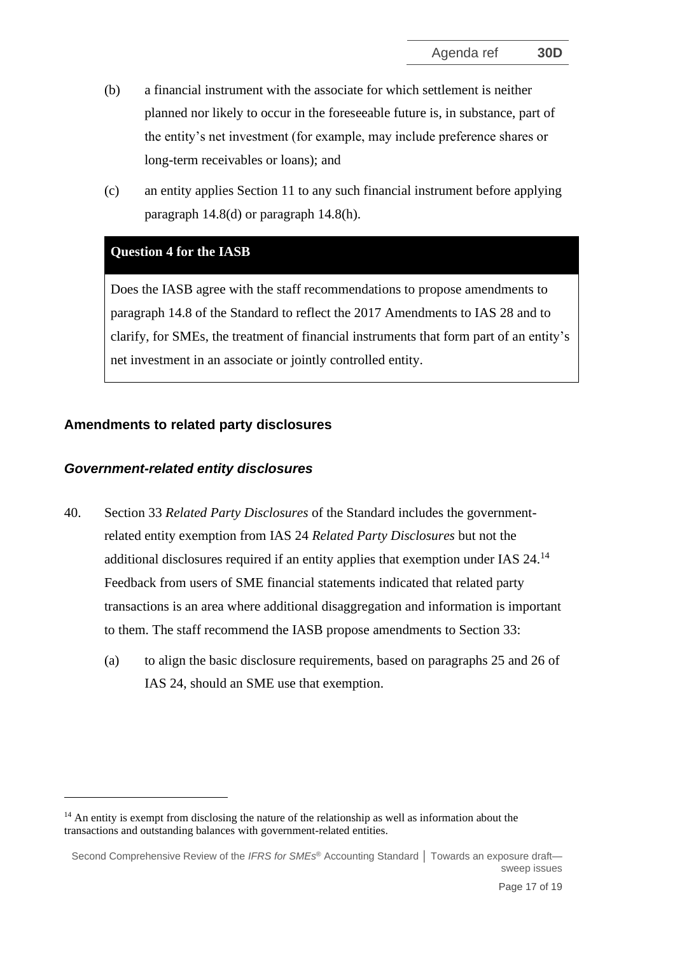- (b) a financial instrument with the associate for which settlement is neither planned nor likely to occur in the foreseeable future is, in substance, part of the entity's net investment (for example, may include preference shares or long-term receivables or loans); and
- (c) an entity applies Section 11 to any such financial instrument before applying paragraph 14.8(d) or paragraph 14.8(h).

## **Question 4 for the IASB**

Does the IASB agree with the staff recommendations to propose amendments to paragraph 14.8 of the Standard to reflect the 2017 Amendments to IAS 28 and to clarify, for SMEs, the treatment of financial instruments that form part of an entity's net investment in an associate or jointly controlled entity.

# **Amendments to related party disclosures**

## *Government-related entity disclosures*

- 40. Section 33 *Related Party Disclosures* of the Standard includes the governmentrelated entity exemption from IAS 24 *Related Party Disclosures* but not the additional disclosures required if an entity applies that exemption under IAS 24.<sup>14</sup> Feedback from users of SME financial statements indicated that related party transactions is an area where additional disaggregation and information is important to them. The staff recommend the IASB propose amendments to Section 33:
	- (a) to align the basic disclosure requirements, based on paragraphs 25 and 26 of IAS 24, should an SME use that exemption.

 $14$  An entity is exempt from disclosing the nature of the relationship as well as information about the transactions and outstanding balances with government-related entities.

Second Comprehensive Review of the *IFRS for SMEs* ® Accounting Standard **│** Towards an exposure draft sweep issues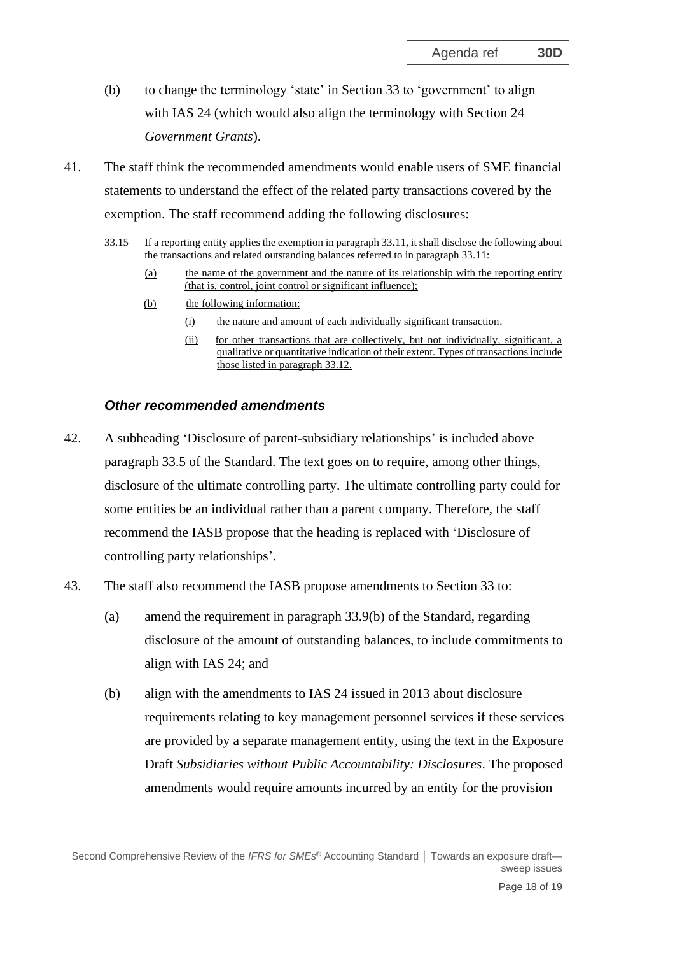- (b) to change the terminology 'state' in Section 33 to 'government' to align with IAS 24 (which would also align the terminology with Section 24 *Government Grants*).
- 41. The staff think the recommended amendments would enable users of SME financial statements to understand the effect of the related party transactions covered by the exemption. The staff recommend adding the following disclosures:
	- 33.15 If a reporting entity applies the exemption in paragraph 33.11, it shall disclose the following about the transactions and related outstanding balances referred to in paragraph 33.11:
		- (a) the name of the government and the nature of its relationship with the reporting entity (that is, control, joint control or significant influence);
		- (b) the following information:
			- (i) the nature and amount of each individually significant transaction.
			- (ii) for other transactions that are collectively, but not individually, significant, a qualitative or quantitative indication of their extent. Types of transactions include those listed in paragraph 33.12.

#### *Other recommended amendments*

- 42. A subheading 'Disclosure of parent-subsidiary relationships' is included above paragraph 33.5 of the Standard. The text goes on to require, among other things, disclosure of the ultimate controlling party. The ultimate controlling party could for some entities be an individual rather than a parent company. Therefore, the staff recommend the IASB propose that the heading is replaced with 'Disclosure of controlling party relationships'.
- 43. The staff also recommend the IASB propose amendments to Section 33 to:
	- (a) amend the requirement in paragraph 33.9(b) of the Standard, regarding disclosure of the amount of outstanding balances, to include commitments to align with IAS 24; and
	- (b) align with the amendments to IAS 24 issued in 2013 about disclosure requirements relating to key management personnel services if these services are provided by a separate management entity, using the text in the Exposure Draft *Subsidiaries without Public Accountability: Disclosures*. The proposed amendments would require amounts incurred by an entity for the provision